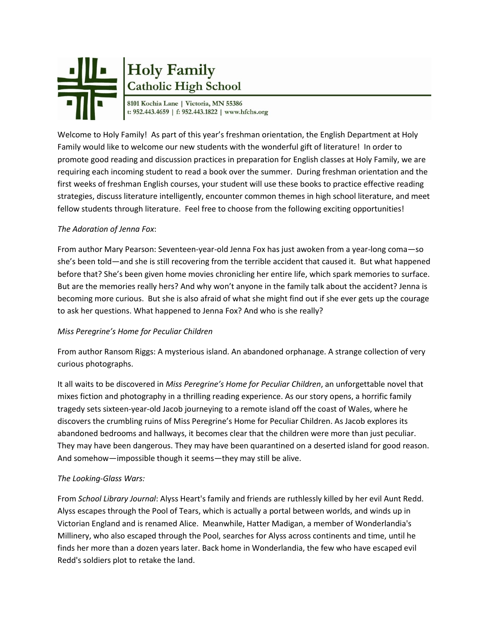

# Holy Family<br>Catholic High School

Welcome to Holy Family! As part of this year's freshman orientation, the English Department at Holy Family would like to welcome our new students with the wonderful gift of literature! In order to promote good reading and discussion practices in preparation for English classes at Holy Family, we are requiring each incoming student to read a book over the summer. During freshman orientation and the first weeks of freshman English courses, your student will use these books to practice effective reading strategies, discuss literature intelligently, encounter common themes in high school literature, and meet fellow students through literature. Feel free to choose from the following exciting opportunities!

### *The Adoration of Jenna Fox*:

From author Mary Pearson: Seventeen-year-old Jenna Fox has just awoken from a year-long coma—so she's been told—and she is still recovering from the terrible accident that caused it. But what happened before that? She's been given home movies chronicling her entire life, which spark memories to surface. But are the memories really hers? And why won't anyone in the family talk about the accident? Jenna is becoming more curious. But she is also afraid of what she might find out if she ever gets up the courage to ask her questions. What happened to Jenna Fox? And who is she really?

#### *Miss Peregrine's Home for Peculiar Children*

From author Ransom Riggs: A mysterious island. An abandoned orphanage. A strange collection of very curious photographs.

It all waits to be discovered in *Miss Peregrine's Home for Peculiar Children*, an unforgettable novel that mixes fiction and photography in a thrilling reading experience. As our story opens, a horrific family tragedy sets sixteen-year-old Jacob journeying to a remote island off the coast of Wales, where he discovers the crumbling ruins of Miss Peregrine's Home for Peculiar Children. As Jacob explores its abandoned bedrooms and hallways, it becomes clear that the children were more than just peculiar. They may have been dangerous. They may have been quarantined on a deserted island for good reason. And somehow—impossible though it seems—they may still be alive.

## *The Looking-Glass Wars:*

From *School Library Journal*: Alyss Heart's family and friends are ruthlessly killed by her evil Aunt Redd. Alyss escapes through the Pool of Tears, which is actually a portal between worlds, and winds up in Victorian England and is renamed Alice. Meanwhile, Hatter Madigan, a member of Wonderlandia's Millinery, who also escaped through the Pool, searches for Alyss across continents and time, until he finds her more than a dozen years later. Back home in Wonderlandia, the few who have escaped evil Redd's soldiers plot to retake the land.